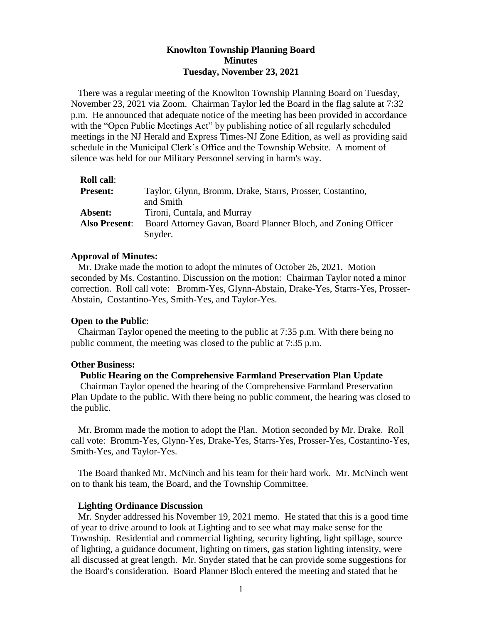# **Knowlton Township Planning Board Minutes Tuesday, November 23, 2021**

There was a regular meeting of the Knowlton Township Planning Board on Tuesday, November 23, 2021 via Zoom. Chairman Taylor led the Board in the flag salute at 7:32 p.m. He announced that adequate notice of the meeting has been provided in accordance with the "Open Public Meetings Act" by publishing notice of all regularly scheduled meetings in the NJ Herald and Express Times-NJ Zone Edition, as well as providing said schedule in the Municipal Clerk's Office and the Township Website. A moment of silence was held for our Military Personnel serving in harm's way.

| <b>Roll call:</b>    |                                                               |
|----------------------|---------------------------------------------------------------|
| <b>Present:</b>      | Taylor, Glynn, Bromm, Drake, Starrs, Prosser, Costantino,     |
|                      | and Smith                                                     |
| Absent:              | Tironi, Cuntala, and Murray                                   |
| <b>Also Present:</b> | Board Attorney Gavan, Board Planner Bloch, and Zoning Officer |
|                      | Snyder.                                                       |

#### **Approval of Minutes:**

 Mr. Drake made the motion to adopt the minutes of October 26, 2021. Motion seconded by Ms. Costantino. Discussion on the motion: Chairman Taylor noted a minor correction. Roll call vote: Bromm-Yes, Glynn-Abstain, Drake-Yes, Starrs-Yes, Prosser-Abstain, Costantino-Yes, Smith-Yes, and Taylor-Yes.

#### **Open to the Public**:

 Chairman Taylor opened the meeting to the public at 7:35 p.m. With there being no public comment, the meeting was closed to the public at 7:35 p.m.

#### **Other Business:**

## **Public Hearing on the Comprehensive Farmland Preservation Plan Update**

Chairman Taylor opened the hearing of the Comprehensive Farmland Preservation Plan Update to the public. With there being no public comment, the hearing was closed to the public.

 Mr. Bromm made the motion to adopt the Plan. Motion seconded by Mr. Drake. Roll call vote: Bromm-Yes, Glynn-Yes, Drake-Yes, Starrs-Yes, Prosser-Yes, Costantino-Yes, Smith-Yes, and Taylor-Yes.

 The Board thanked Mr. McNinch and his team for their hard work. Mr. McNinch went on to thank his team, the Board, and the Township Committee.

#### **Lighting Ordinance Discussion**

Mr. Snyder addressed his November 19, 2021 memo. He stated that this is a good time of year to drive around to look at Lighting and to see what may make sense for the Township. Residential and commercial lighting, security lighting, light spillage, source of lighting, a guidance document, lighting on timers, gas station lighting intensity, were all discussed at great length. Mr. Snyder stated that he can provide some suggestions for the Board's consideration. Board Planner Bloch entered the meeting and stated that he